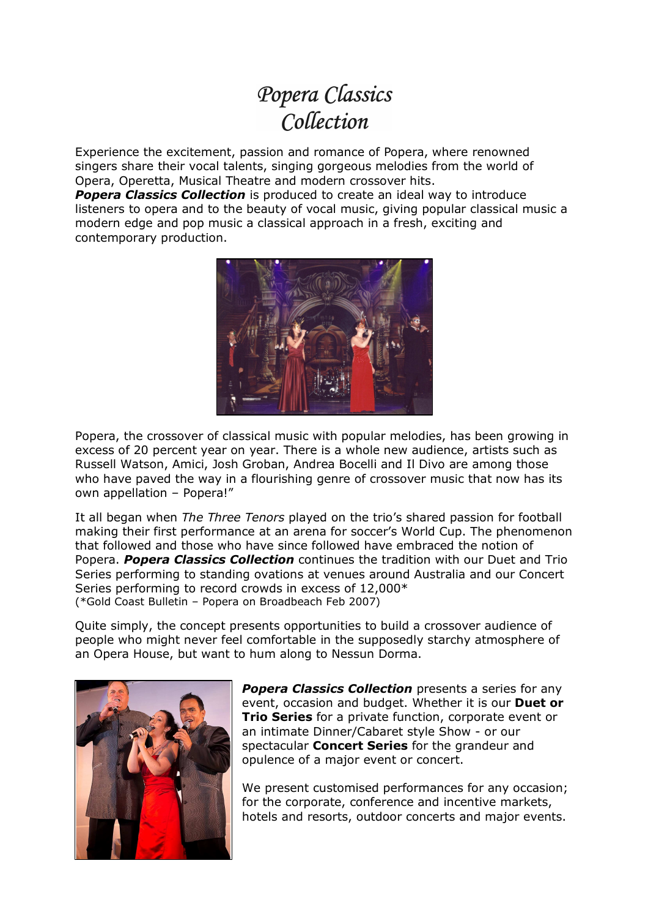## Popera Classics Collection

Experience the excitement, passion and romance of Popera, where renowned singers share their vocal talents, singing gorgeous melodies from the world of Opera, Operetta, Musical Theatre and modern crossover hits.

*Popera Classics Collection* is produced to create an ideal way to introduce listeners to opera and to the beauty of vocal music, giving popular classical music a modern edge and pop music a classical approach in a fresh, exciting and contemporary production.



Popera, the crossover of classical music with popular melodies, has been growing in excess of 20 percent year on year. There is a whole new audience, artists such as Russell Watson, Amici, Josh Groban, Andrea Bocelli and Il Divo are among those who have paved the way in a flourishing genre of crossover music that now has its own appellation – Popera!"

It all began when *The Three Tenors* played on the trio's shared passion for football making their first performance at an arena for soccer's World Cup. The phenomenon that followed and those who have since followed have embraced the notion of Popera. *Popera Classics Collection* continues the tradition with our Duet and Trio Series performing to standing ovations at venues around Australia and our Concert Series performing to record crowds in excess of 12,000\* (\*Gold Coast Bulletin – Popera on Broadbeach Feb 2007)

Quite simply, the concept presents opportunities to build a crossover audience of people who might never feel comfortable in the supposedly starchy atmosphere of an Opera House, but want to hum along to Nessun Dorma.



*Popera Classics Collection* presents a series for any event, occasion and budget. Whether it is our **Duet or Trio Series** for a private function, corporate event or an intimate Dinner/Cabaret style Show - or our spectacular **Concert Series** for the grandeur and opulence of a major event or concert.

We present customised performances for any occasion; for the corporate, conference and incentive markets, hotels and resorts, outdoor concerts and major events.